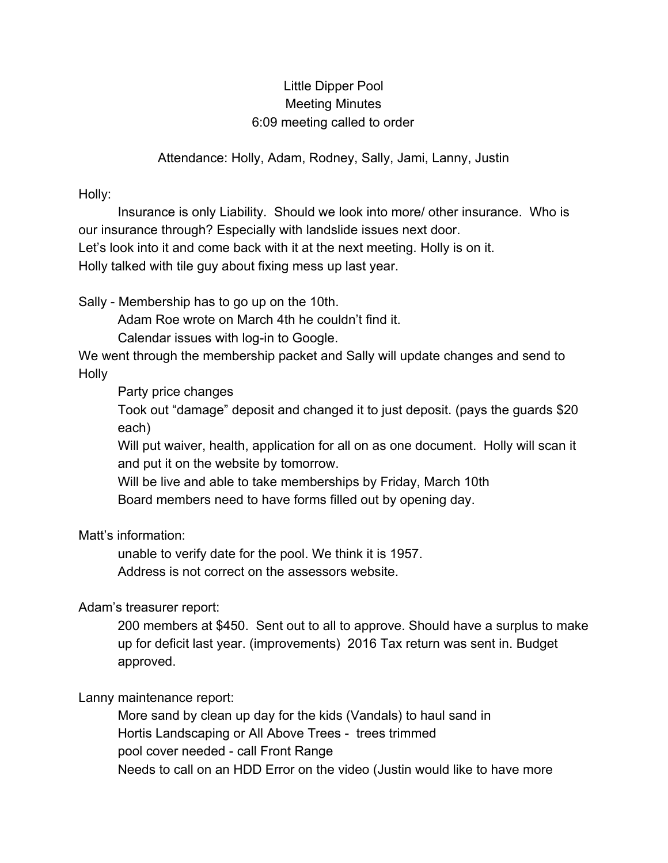## Little Dipper Pool Meeting Minutes 6:09 meeting called to order

Attendance: Holly, Adam, Rodney, Sally, Jami, Lanny, Justin

Holly:

Insurance is only Liability. Should we look into more/ other insurance. Who is our insurance through? Especially with landslide issues next door. Let's look into it and come back with it at the next meeting. Holly is on it. Holly talked with tile guy about fixing mess up last year.

Sally - Membership has to go up on the 10th.

Adam Roe wrote on March 4th he couldn't find it.

Calendar issues with log-in to Google.

We went through the membership packet and Sally will update changes and send to Holly

Party price changes

Took out "damage" deposit and changed it to just deposit. (pays the guards \$20 each)

Will put waiver, health, application for all on as one document. Holly will scan it and put it on the website by tomorrow.

Will be live and able to take memberships by Friday, March 10th Board members need to have forms filled out by opening day.

Matt's information:

unable to verify date for the pool. We think it is 1957.

Address is not correct on the assessors website.

Adam's treasurer report:

200 members at \$450. Sent out to all to approve. Should have a surplus to make up for deficit last year. (improvements) 2016 Tax return was sent in. Budget approved.

Lanny maintenance report:

More sand by clean up day for the kids (Vandals) to haul sand in Hortis Landscaping or All Above Trees - trees trimmed pool cover needed - call Front Range Needs to call on an HDD Error on the video (Justin would like to have more